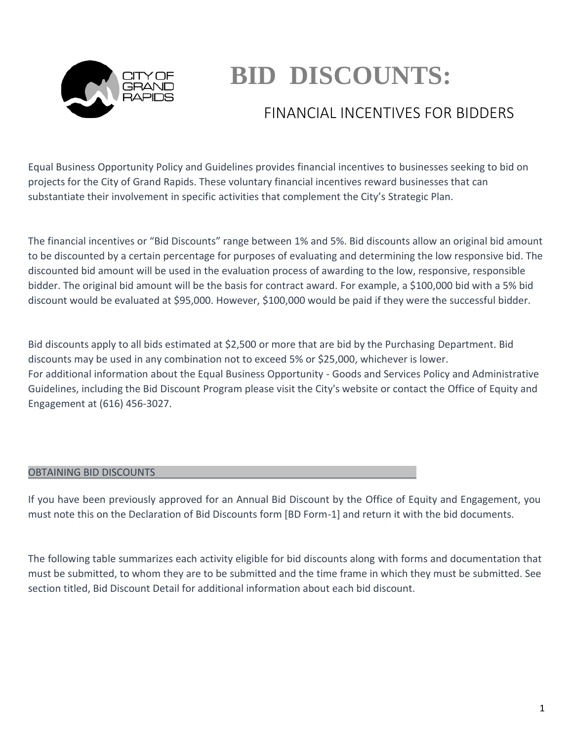

# **BID DISCOUNTS:**

# FINANCIAL INCENTIVES FOR BIDDERS

Equal Business Opportunity Policy and Guidelines provides financial incentives to businesses seeking to bid on projects for the City of Grand Rapids. These voluntary financial incentives reward businesses that can substantiate their involvement in specific activities that complement the City's Strategic Plan.

The financial incentives or "Bid Discounts" range between 1% and 5%. Bid discounts allow an original bid amount to be discounted by a certain percentage for purposes of evaluating and determining the low responsive bid. The discounted bid amount will be used in the evaluation process of awarding to the low, responsive, responsible bidder. The original bid amount will be the basis for contract award. For example, a \$100,000 bid with a 5% bid discount would be evaluated at \$95,000. However, \$100,000 would be paid if they were the successful bidder.

Bid discounts apply to all bids estimated at \$2,500 or more that are bid by the Purchasing Department. Bid discounts may be used in any combination not to exceed 5% or \$25,000, whichever is lower. For additional information about the Equal Business Opportunity - Goods and Services Policy and Administrative Guidelines, including the Bid Discount Program please visit the City's website or contact the Office of Equity and Engagement at (616) 456-3027.

# OBTAINING BID DISCOUNTS

If you have been previously approved for an Annual Bid Discount by the Office of Equity and Engagement, you must note this on the Declaration of Bid Discounts form [BD Form-1] and return it with the bid documents.

The following table summarizes each activity eligible for bid discounts along with forms and documentation that must be submitted, to whom they are to be submitted and the time frame in which they must be submitted. See section titled, Bid Discount Detail for additional information about each bid discount.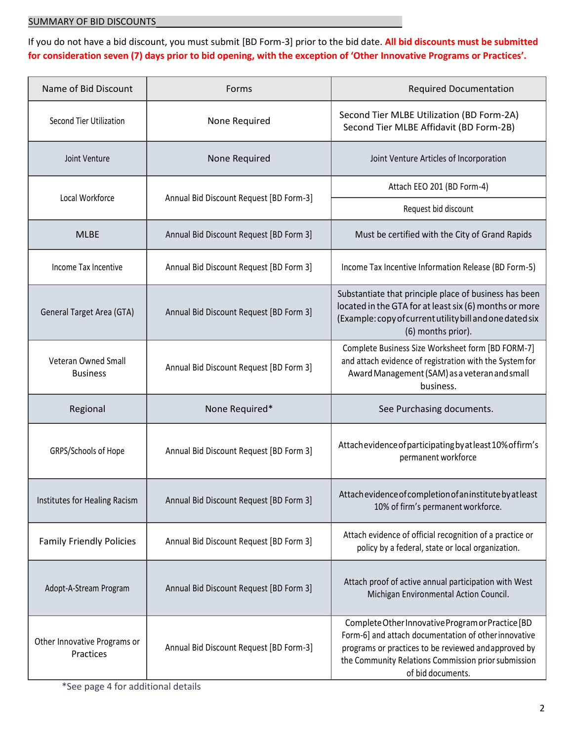If you do not have a bid discount, you must submit [BD Form-3] prior to the bid date. **All bid discounts must be submitted for consideration seven (7) days prior to bid opening, with the exception of 'Other Innovative Programs or Practices'.**

| Name of Bid Discount                      | Forms                                   | <b>Required Documentation</b>                                                                                                                                                                                                                 |
|-------------------------------------------|-----------------------------------------|-----------------------------------------------------------------------------------------------------------------------------------------------------------------------------------------------------------------------------------------------|
| <b>Second Tier Utilization</b>            | None Required                           | Second Tier MLBE Utilization (BD Form-2A)<br>Second Tier MLBE Affidavit (BD Form-2B)                                                                                                                                                          |
| Joint Venture                             | None Required                           | Joint Venture Articles of Incorporation                                                                                                                                                                                                       |
| Local Workforce                           | Annual Bid Discount Request [BD Form-3] | Attach EEO 201 (BD Form-4)                                                                                                                                                                                                                    |
|                                           |                                         | Request bid discount                                                                                                                                                                                                                          |
| <b>MLBE</b>                               | Annual Bid Discount Request [BD Form 3] | Must be certified with the City of Grand Rapids                                                                                                                                                                                               |
| Income Tax Incentive                      | Annual Bid Discount Request [BD Form 3] | Income Tax Incentive Information Release (BD Form-5)                                                                                                                                                                                          |
| General Target Area (GTA)                 | Annual Bid Discount Request [BD Form 3] | Substantiate that principle place of business has been<br>located in the GTA for at least six (6) months or more<br>(Example: copy of current utility bill and one dated six<br>(6) months prior).                                            |
| Veteran Owned Small<br><b>Business</b>    | Annual Bid Discount Request [BD Form 3] | Complete Business Size Worksheet form [BD FORM-7]<br>and attach evidence of registration with the System for<br>Award Management (SAM) as a veteran and small<br>business.                                                                    |
| Regional                                  | None Required*                          | See Purchasing documents.                                                                                                                                                                                                                     |
| GRPS/Schools of Hope                      | Annual Bid Discount Request [BD Form 3] | Attachevidence of participating by at least 10% of firm's<br>permanent workforce                                                                                                                                                              |
| Institutes for Healing Racism             | Annual Bid Discount Request [BD Form 3] | Attach evidence of completion of an institute by at least<br>10% of firm's permanent workforce.                                                                                                                                               |
| <b>Family Friendly Policies</b>           | Annual Bid Discount Request [BD Form 3] | Attach evidence of official recognition of a practice or<br>policy by a federal, state or local organization.                                                                                                                                 |
| Adopt-A-Stream Program                    | Annual Bid Discount Request [BD Form 3] | Attach proof of active annual participation with West<br>Michigan Environmental Action Council.                                                                                                                                               |
| Other Innovative Programs or<br>Practices | Annual Bid Discount Request [BD Form-3] | Complete Other Innovative Program or Practice [BD<br>Form-6] and attach documentation of other innovative<br>programs or practices to be reviewed and approved by<br>the Community Relations Commission prior submission<br>of bid documents. |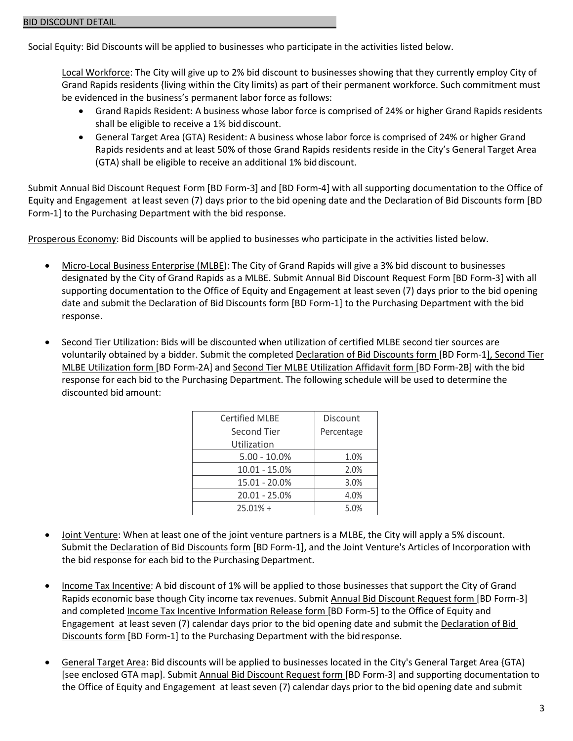Social Equity: Bid Discounts will be applied to businesses who participate in the activities listed below.

Local Workforce: The City will give up to 2% bid discount to businesses showing that they currently employ City of Grand Rapids residents {living within the City limits) as part of their permanent workforce. Such commitment must be evidenced in the business's permanent labor force as follows:

- Grand Rapids Resident: A business whose labor force is comprised of 24% or higher Grand Rapids residents shall be eligible to receive a 1% bid discount.
- General Target Area (GTA) Resident: A business whose labor force is comprised of 24% or higher Grand Rapids residents and at least 50% of those Grand Rapids residents reside in the City's General Target Area (GTA) shall be eligible to receive an additional 1% biddiscount.

Submit Annual Bid Discount Request Form [BD Form-3] and [BD Form-4] with all supporting documentation to the Office of Equity and Engagement at least seven (7) days prior to the bid opening date and the Declaration of Bid Discounts form [BD Form-1] to the Purchasing Department with the bid response.

Prosperous Economy: Bid Discounts will be applied to businesses who participate in the activities listed below.

- Micro-Local Business Enterprise (MLBE): The City of Grand Rapids will give a 3% bid discount to businesses designated by the City of Grand Rapids as a MLBE. Submit Annual Bid Discount Request Form [BD Form-3] with all supporting documentation to the Office of Equity and Engagement at least seven (7) days prior to the bid opening date and submit the Declaration of Bid Discounts form [BD Form-1] to the Purchasing Department with the bid response.
- Second Tier Utilization: Bids will be discounted when utilization of certified MLBE second tier sources are voluntarily obtained by a bidder. Submit the completed Declaration of Bid Discounts form [BD Form-1], Second Tier MLBE Utilization form [BD Form-2A] and Second Tier MLBE Utilization Affidavit form [BD Form-2B] with the bid response for each bid to the Purchasing Department. The following schedule will be used to determine the discounted bid amount:

| <b>Certified MLBE</b> | Discount   |  |  |
|-----------------------|------------|--|--|
| Second Tier           | Percentage |  |  |
| Utilization           |            |  |  |
| $5.00 - 10.0\%$       | 1.0%       |  |  |
| $10.01 - 15.0%$       | 2.0%       |  |  |
| 15.01 - 20.0%         | 3.0%       |  |  |
| 20.01 - 25.0%         | 4.0%       |  |  |
| $25.01% +$            | 5.0%       |  |  |

- Joint Venture: When at least one of the joint venture partners is a MLBE, the City will apply a 5% discount. Submit the Declaration of Bid Discounts form [BD Form-1], and the Joint Venture's Articles of Incorporation with the bid response for each bid to the Purchasing Department.
- Income Tax Incentive: A bid discount of 1% will be applied to those businesses that support the City of Grand Rapids economic base though City income tax revenues. Submit Annual Bid Discount Request form [BD Form-3] and completed Income Tax Incentive Information Release form [BD Form-5] to the Office of Equity and Engagement at least seven (7) calendar days prior to the bid opening date and submit the Declaration of Bid Discounts form [BD Form-1] to the Purchasing Department with the bidresponse.
- General Target Area: Bid discounts will be applied to businesses located in the City's General Target Area {GTA) [see enclosed GTA map]. Submit Annual Bid Discount Request form [BD Form-3] and supporting documentation to the Office of Equity and Engagement at least seven (7) calendar days prior to the bid opening date and submit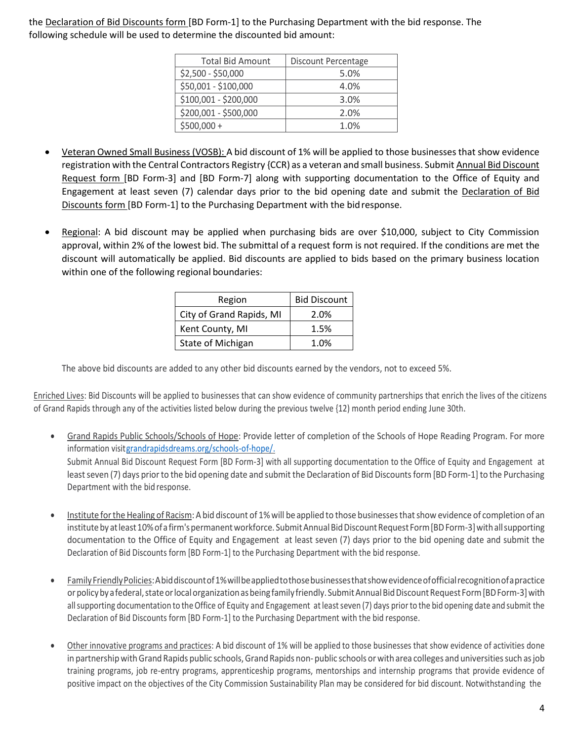the Declaration of Bid Discounts form [BD Form-1] to the Purchasing Department with the bid response. The following schedule will be used to determine the discounted bid amount:

| <b>Total Bid Amount</b> | Discount Percentage |
|-------------------------|---------------------|
| \$2,500 - \$50,000      | 5.0%                |
| \$50,001 - \$100,000    | 4.0%                |
| \$100,001 - \$200,000   | 3.0%                |
| \$200,001 - \$500,000   | 2.0%                |
| $$500,000 +$            | 1.0%                |

- Veteran Owned Small Business (VOSB): A bid discount of 1% will be applied to those businesses that show evidence registration with the Central Contractors Registry {CCR) as a veteran and small business. Submit Annual Bid Discount Request form [BD Form-3] and [BD Form-7] along with supporting documentation to the Office of Equity and Engagement at least seven (7) calendar days prior to the bid opening date and submit the Declaration of Bid Discounts form [BD Form-1] to the Purchasing Department with the bid response.
- Regional: A bid discount may be applied when purchasing bids are over \$10,000, subject to City Commission approval, within 2% of the lowest bid. The submittal of a request form is not required. If the conditions are met the discount will automatically be applied. Bid discounts are applied to bids based on the primary business location within one of the following regional boundaries:

| Region                   | <b>Bid Discount</b> |
|--------------------------|---------------------|
| City of Grand Rapids, MI | 2.0%                |
| Kent County, MI          | 1.5%                |
| State of Michigan        | 1.0%                |

The above bid discounts are added to any other bid discounts earned by the vendors, not to exceed 5%.

Enriched Lives: Bid Discounts will be applied to businesses that can show evidence of community partnerships that enrich the lives of the citizens of Grand Rapids through any of the activities listed below during the previous twelve {12) month period ending June 30th.

- Grand Rapids Public Schools/Schools of Hope: Provide letter of completion of the Schools of Hope Reading Program. For more information visi[tgrandrapidsdreams.org/schools-of-hope/.](http://grandrapidsdreams.org/schools-of-hope/) Submit Annual Bid Discount Request Form [BD Form-3] with all supporting documentation to the Office of Equity and Engagement at least seven (7) days prior to the bid opening date and submit the Declaration of Bid Discounts form [BD Form-1] to the Purchasing Department with the bid response.
- Institute for the Healing of Racism: A bid discount of 1% will be applied to those businesses that show evidence of completion of an institute by at least 10% of a firm's permanent workforce. Submit Annual Bid Discount Request Form [BD Form-3] with all supporting documentation to the Office of Equity and Engagement at least seven (7) days prior to the bid opening date and submit the Declaration of Bid Discounts form [BD Form-1] to the Purchasing Department with the bid response.
- FamilyFriendlyPolicies:Abiddiscountof1%willbeappliedtothosebusinessesthatshowevidenceofofficialrecognitionofapractice or policy by a federal, state or local organization as being family friendly. Submit Annual Bid Discount Request Form [BD Form-3] with all supporting documentation to the Office of Equity and Engagement at least seven (7) days prior to the bid opening date and submit the Declaration of Bid Discounts form [BD Form-1] to the Purchasing Department with the bid response.
- Other innovative programs and practices: A bid discount of 1% will be applied to those businesses that show evidence of activities done in partnership with Grand Rapids public schools, Grand Rapids non- public schools or with area colleges and universities such as job training programs, job re-entry programs, apprenticeship programs, mentorships and internship programs that provide evidence of positive impact on the objectives of the City Commission Sustainability Plan may be considered for bid discount. Notwithstanding the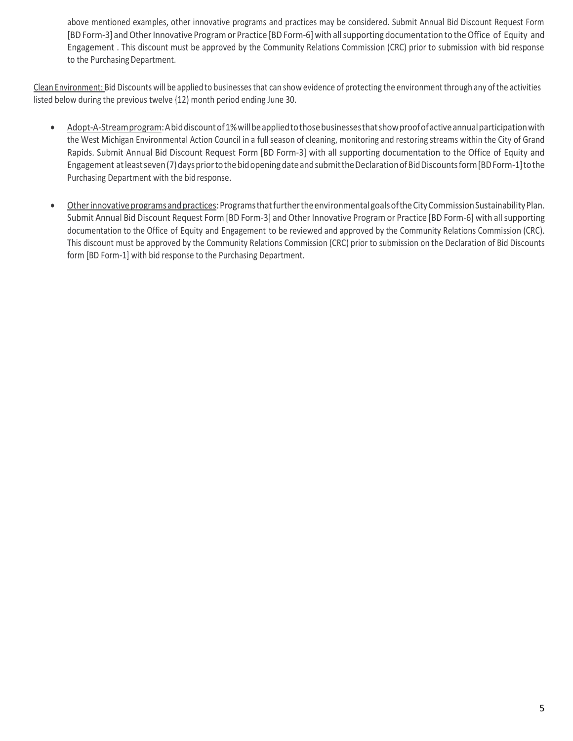above mentioned examples, other innovative programs and practices may be considered. Submit Annual Bid Discount Request Form [BD Form-3] and Other Innovative Program or Practice [BD Form-6] with all supporting documentation to the Office of Equity and Engagement . This discount must be approved by the Community Relations Commission (CRC) prior to submission with bid response to the Purchasing Department.

Clean Environment: Bid Discounts will be applied to businesses that can show evidence of protecting the environment through any of the activities listed below during the previous twelve {12) month period ending June 30.

- Adopt-A-Streamprogram:Abiddiscountof1%willbeappliedtothosebusinessesthatshowproofofactiveannualparticipationwith the West Michigan Environmental Action Council in a full season of cleaning, monitoring and restoring streams within the City of Grand Rapids. Submit Annual Bid Discount Request Form [BD Form-3] with all supporting documentation to the Office of Equity and Engagement at least seven (7) days prior to the bid opening date and submit the Declaration of Bid Discounts form [BD Form-1] to the Purchasing Department with the bidresponse.
- Other innovative programs and practices: Programs that further the environmental goals of the City Commission Sustainability Plan. Submit Annual Bid Discount Request Form [BD Form-3] and Other Innovative Program or Practice [BD Form-6] with allsupporting documentation to the Office of Equity and Engagement to be reviewed and approved by the Community Relations Commission (CRC). This discount must be approved by the Community Relations Commission (CRC) prior to submission on the Declaration of Bid Discounts form [BD Form-1] with bid response to the Purchasing Department.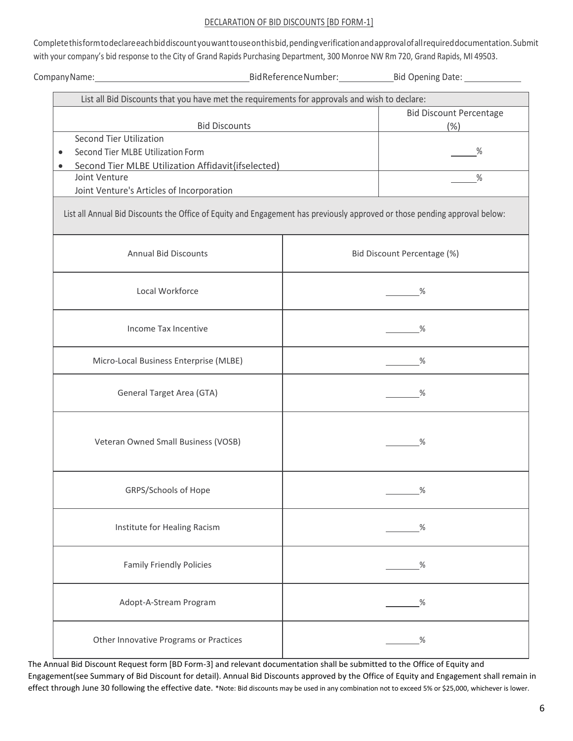#### DECLARATION OF BID DISCOUNTS [BD FORM-1]

Completethisformtodeclareeachbiddiscountyouwanttouseonthisbid,pendingverificationandapprovalofallrequireddocumentation.Submit with your company's bid response to the City of Grand Rapids Purchasing Department, 300 Monroe NW Rm 720, Grand Rapids, MI 49503.

CompanyName: CompanyName: CompanyName: CompanyName: CompanyName: CompanyName: CompanyName: CompanyName: Company

| List all Bid Discounts that you have met the requirements for approvals and wish to declare:                               |                                |      |  |  |  |  |  |
|----------------------------------------------------------------------------------------------------------------------------|--------------------------------|------|--|--|--|--|--|
|                                                                                                                            | <b>Bid Discount Percentage</b> |      |  |  |  |  |  |
| <b>Bid Discounts</b>                                                                                                       | (% )                           |      |  |  |  |  |  |
| Second Tier Utilization                                                                                                    |                                |      |  |  |  |  |  |
| Second Tier MLBE Utilization Form                                                                                          |                                | %    |  |  |  |  |  |
| Second Tier MLBE Utilization Affidavit{ifselected)<br>$\bullet$                                                            |                                |      |  |  |  |  |  |
| Joint Venture                                                                                                              |                                | %    |  |  |  |  |  |
| Joint Venture's Articles of Incorporation                                                                                  |                                |      |  |  |  |  |  |
| List all Annual Bid Discounts the Office of Equity and Engagement has previously approved or those pending approval below: |                                |      |  |  |  |  |  |
| <b>Annual Bid Discounts</b>                                                                                                | Bid Discount Percentage (%)    |      |  |  |  |  |  |
| Local Workforce                                                                                                            |                                | %    |  |  |  |  |  |
| Income Tax Incentive                                                                                                       |                                | %    |  |  |  |  |  |
| Micro-Local Business Enterprise (MLBE)                                                                                     |                                | %    |  |  |  |  |  |
| General Target Area (GTA)                                                                                                  |                                | %    |  |  |  |  |  |
| Veteran Owned Small Business (VOSB)                                                                                        |                                | %    |  |  |  |  |  |
| GRPS/Schools of Hope                                                                                                       |                                | %    |  |  |  |  |  |
| Institute for Healing Racism                                                                                               |                                | %    |  |  |  |  |  |
| <b>Family Friendly Policies</b>                                                                                            |                                | %    |  |  |  |  |  |
| Adopt-A-Stream Program                                                                                                     |                                | %    |  |  |  |  |  |
| Other Innovative Programs or Practices                                                                                     |                                | $\%$ |  |  |  |  |  |

The Annual Bid Discount Request form [BD Form-3] and relevant documentation shall be submitted to the Office of Equity and Engagement(see Summary of Bid Discount for detail). Annual Bid Discounts approved by the Office of Equity and Engagement shall remain in effect through June 30 following the effective date. \*Note: Bid discounts may be used in any combination not to exceed 5% or \$25,000, whichever is lower.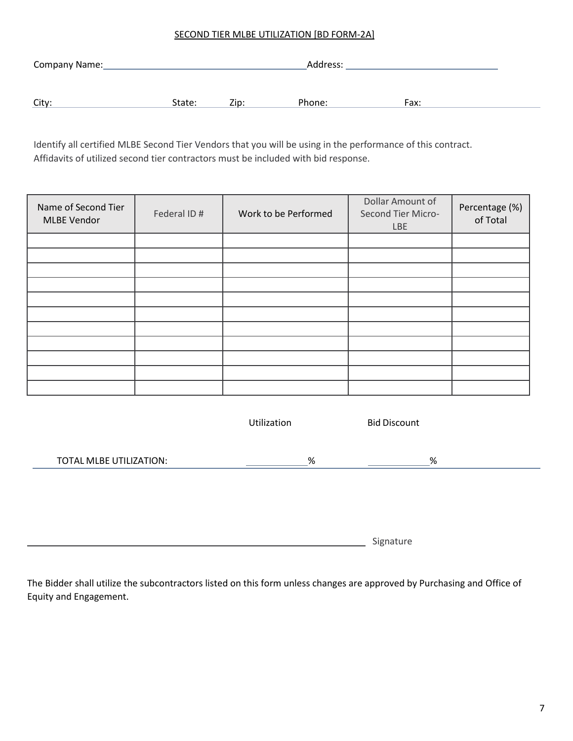#### SECOND TIER MLBE UTILIZATION [BD FORM-2A]

| City:<br>Zip:<br>State: | Phone: | Fax: |
|-------------------------|--------|------|

Identify all certified MLBE Second Tier Vendors that you will be using in the performance of this contract. Affidavits of utilized second tier contractors must be included with bid response.

| Name of Second Tier<br><b>MLBE Vendor</b> | Federal ID# | Work to be Performed | Dollar Amount of<br>Second Tier Micro-<br><b>LBE</b> | Percentage (%)<br>of Total |
|-------------------------------------------|-------------|----------------------|------------------------------------------------------|----------------------------|
|                                           |             |                      |                                                      |                            |
|                                           |             |                      |                                                      |                            |
|                                           |             |                      |                                                      |                            |
|                                           |             |                      |                                                      |                            |
|                                           |             |                      |                                                      |                            |
|                                           |             |                      |                                                      |                            |
|                                           |             |                      |                                                      |                            |
|                                           |             |                      |                                                      |                            |
|                                           |             |                      |                                                      |                            |
|                                           |             |                      |                                                      |                            |
|                                           |             |                      |                                                      |                            |

|                         | Utilization | <b>Bid Discount</b> |  |
|-------------------------|-------------|---------------------|--|
| TOTAL MLBE UTILIZATION: | %           | %                   |  |
|                         |             |                     |  |
|                         |             |                     |  |

**Signature** 

The Bidder shall utilize the subcontractors listed on this form unless changes are approved by Purchasing and Office of Equity and Engagement.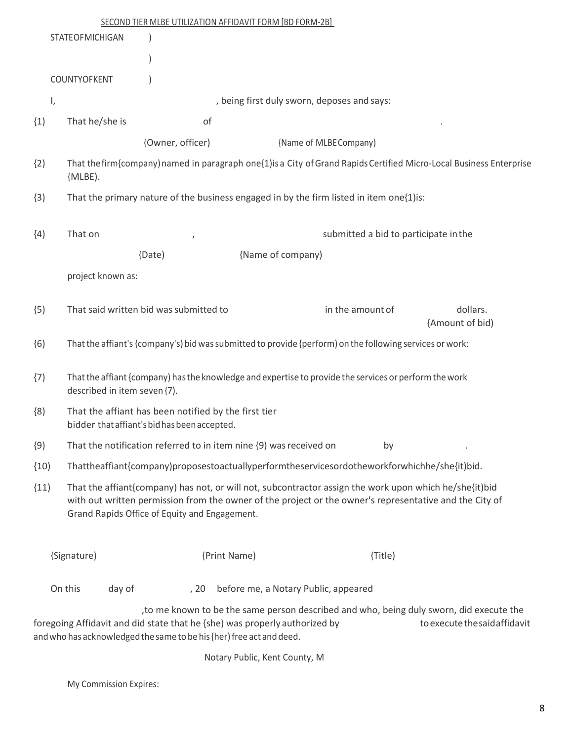|               |                        |                              |                                               | SECOND TIER MLBE UTILIZATION AFFIDAVIT FORM [BD FORM-2B]                                                                                           |                                                                                                          |         |                                                                                                                           |  |
|---------------|------------------------|------------------------------|-----------------------------------------------|----------------------------------------------------------------------------------------------------------------------------------------------------|----------------------------------------------------------------------------------------------------------|---------|---------------------------------------------------------------------------------------------------------------------------|--|
|               | <b>STATEOFMICHIGAN</b> |                              |                                               |                                                                                                                                                    |                                                                                                          |         |                                                                                                                           |  |
|               |                        |                              |                                               |                                                                                                                                                    |                                                                                                          |         |                                                                                                                           |  |
|               | COUNTYOFKENT           |                              |                                               |                                                                                                                                                    |                                                                                                          |         |                                                                                                                           |  |
| $\mathsf{I},$ |                        |                              |                                               |                                                                                                                                                    | , being first duly sworn, deposes and says:                                                              |         |                                                                                                                           |  |
| (1)           | That he/she is         |                              | of                                            |                                                                                                                                                    |                                                                                                          |         |                                                                                                                           |  |
|               |                        |                              | {Owner, officer)                              |                                                                                                                                                    | {Name of MLBE Company)                                                                                   |         |                                                                                                                           |  |
| (2)           | [MLEE].                |                              |                                               |                                                                                                                                                    |                                                                                                          |         | That the firm {company) named in paragraph one {1} is a City of Grand Rapids Certified Micro-Local Business Enterprise    |  |
| (3)           |                        |                              |                                               |                                                                                                                                                    | That the primary nature of the business engaged in by the firm listed in item one{1) is:                 |         |                                                                                                                           |  |
| (4)           | That on                |                              |                                               |                                                                                                                                                    |                                                                                                          |         | submitted a bid to participate in the                                                                                     |  |
|               |                        |                              | {Date)                                        |                                                                                                                                                    | {Name of company)                                                                                        |         |                                                                                                                           |  |
|               |                        |                              |                                               |                                                                                                                                                    |                                                                                                          |         |                                                                                                                           |  |
|               | project known as:      |                              |                                               |                                                                                                                                                    |                                                                                                          |         |                                                                                                                           |  |
| (5)           |                        |                              | That said written bid was submitted to        |                                                                                                                                                    | in the amount of                                                                                         |         | dollars.<br>{Amount of bid)                                                                                               |  |
| (6)           |                        |                              |                                               |                                                                                                                                                    | That the affiant's {company's} bid was submitted to provide {perform} on the following services or work: |         |                                                                                                                           |  |
| (7)           |                        | described in item seven {7). |                                               |                                                                                                                                                    | That the affiant {company) has the knowledge and expertise to provide the services or perform the work   |         |                                                                                                                           |  |
| (8)           |                        |                              | bidder that affiant's bid has been accepted.  | That the affiant has been notified by the first tier                                                                                               |                                                                                                          |         |                                                                                                                           |  |
| (9)           |                        |                              |                                               | That the notification referred to in item nine {9) was received on                                                                                 |                                                                                                          | by      |                                                                                                                           |  |
| (10)          |                        |                              |                                               |                                                                                                                                                    | Thattheaffiant{company)proposestoactuallyperformtheservicesordotheworkforwhichhe/she{it)bid.             |         |                                                                                                                           |  |
| (11)          |                        |                              | Grand Rapids Office of Equity and Engagement. |                                                                                                                                                    | That the affiant{company) has not, or will not, subcontractor assign the work upon which he/she{it)bid   |         | with out written permission from the owner of the project or the owner's representative and the City of                   |  |
|               | {Signature}            |                              |                                               | {Print Name)                                                                                                                                       |                                                                                                          | {Title} |                                                                                                                           |  |
|               | On this                | day of                       | , 20                                          |                                                                                                                                                    | before me, a Notary Public, appeared                                                                     |         |                                                                                                                           |  |
|               |                        |                              |                                               | foregoing Affidavit and did state that he {she) was properly authorized by<br>and who has acknowledged the same to be his {her) free act and deed. |                                                                                                          |         | , to me known to be the same person described and who, being duly sworn, did execute the<br>to execute the said affidavit |  |
|               |                        |                              |                                               |                                                                                                                                                    |                                                                                                          |         |                                                                                                                           |  |

Notary Public, Kent County, M

My Commission Expires: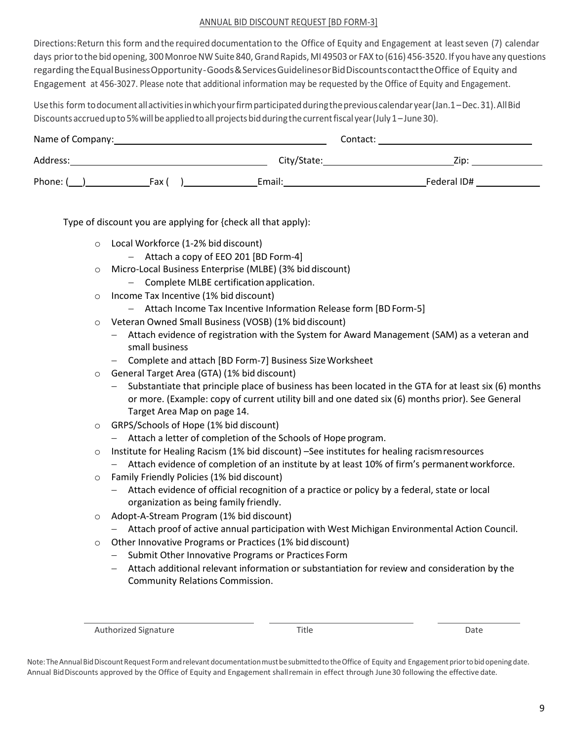#### ANNUAL BID DISCOUNT REQUEST [BD FORM-3]

Directions: Return this form and the required documentation to the Office of Equity and Engagement at least seven (7) calendar days prior to the bid opening, 300 Monroe NW Suite 840, Grand Rapids, MI 49503 or FAX to (616) 456-3520. If you have any questions regarding theEqualBusinessOpportunity-Goods&ServicesGuidelinesorBidDiscountscontacttheOffice of Equity and Engagement at 456-3027. Please note that additional information may be requested by the Office of Equity and Engagement.

Usethis form todocumentallactivitiesinwhichyourfirmparticipatedduringtheprevious calendaryear(Jan.1–Dec.31).AllBid Discounts accrued up to 5% will be applied to all projects bid during the current fiscal year (July 1–June 30).

| Name of Company: |       | Contact:    |             |
|------------------|-------|-------------|-------------|
| Address:         |       | City/State: | $Z$ ip:     |
| Phone: (         | Fax ( | Email:      | Federal ID# |

Type of discount you are applying for {check all that apply):

- o Local Workforce (1-2% bid discount)
	- − Attach a copy of EEO 201 [BD Form-4]
- o Micro-Local Business Enterprise (MLBE) (3% biddiscount)
	- − Complete MLBE certification application.
- o Income Tax Incentive (1% bid discount)
	- − Attach Income Tax Incentive Information Release form [BDForm-5]
- o Veteran Owned Small Business (VOSB) (1% biddiscount)
	- − Attach evidence of registration with the System for Award Management (SAM) as a veteran and small business
	- − Complete and attach [BD Form-7] Business SizeWorksheet
- o General Target Area (GTA) (1% bid discount)
	- − Substantiate that principle place of business has been located in the GTA for at least six (6) months or more. (Example: copy of current utility bill and one dated six (6) months prior). See General Target Area Map on page 14.
- o GRPS/Schools of Hope (1% bid discount)
	- − Attach a letter of completion of the Schools of Hope program.
- o Institute for Healing Racism (1% bid discount) –See institutes for healing racismresources
	- − Attach evidence of completion of an institute by at least 10% of firm's permanentworkforce.
- o Family Friendly Policies (1% bid discount)
	- − Attach evidence of official recognition of a practice or policy by a federal, state or local organization as being family friendly.
- o Adopt-A-Stream Program (1% bid discount)
	- − Attach proof of active annual participation with West Michigan Environmental Action Council.
- o Other Innovative Programs or Practices (1% bid discount)
	- − Submit Other Innovative Programs or Practices Form
	- − Attach additional relevant information or substantiation for review and consideration by the Community Relations Commission.

Authorized Signature **Title** Title **The Contract of Contract Contract Contract Contract Contract Contract Date** 

Note: The Annual Bid Discount Request Form and relevant documentation must be submitted to the Office of Equity and Engagement prior to bid opening date. Annual BidDiscounts approved by the Office of Equity and Engagement shallremain in effect through June30 following the effective date.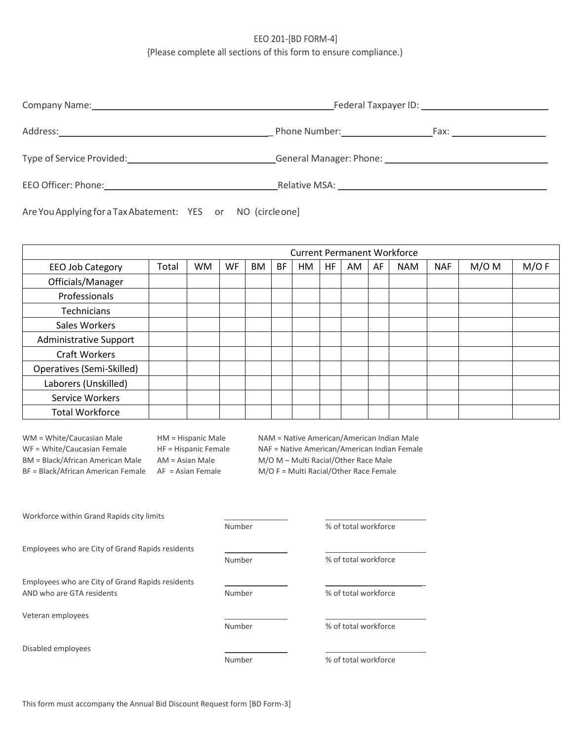### EEO 201-[BD FORM-4] {Please complete all sections of this form to ensure compliance.)

|                                                                                                                                                                                                                                | Federal Taxpayer ID: The control of the control of the control of the control of the control of the control of the control of the control of the control of the control of the control of the control of the control of the co                                      |
|--------------------------------------------------------------------------------------------------------------------------------------------------------------------------------------------------------------------------------|---------------------------------------------------------------------------------------------------------------------------------------------------------------------------------------------------------------------------------------------------------------------|
| Address:                                                                                                                                                                                                                       | Phone Number: North School School<br>Fax: The contract of the contract of the contract of the contract of the contract of the contract of the contract of the contract of the contract of the contract of the contract of the contract of the contract of the contr |
| Type of Service Provided: Type of Service Provided:                                                                                                                                                                            | General Manager: Phone: The Contract of the Contract of the Contract of the Contract of the Contract of the Co                                                                                                                                                      |
| EEO Officer: Phone: Note that the set of the set of the set of the set of the set of the set of the set of the set of the set of the set of the set of the set of the set of the set of the set of the set of the set of the s | Relative MSA: The contract of the contract of the contract of the contract of the contract of the contract of the contract of the contract of the contract of the contract of the contract of the contract of the contract of                                       |

Are YouApplying foraTaxAbatement: YES or NO (circleone]

| <b>Current Permanent Workforce</b> |       |           |    |           |    |    |     |    |    |            |            |         |      |
|------------------------------------|-------|-----------|----|-----------|----|----|-----|----|----|------------|------------|---------|------|
| EEO Job Category                   | Total | <b>WM</b> | WF | <b>BM</b> | BF | HM | HF. | AM | AF | <b>NAM</b> | <b>NAF</b> | $M/O$ M | M/OF |
| Officials/Manager                  |       |           |    |           |    |    |     |    |    |            |            |         |      |
| Professionals                      |       |           |    |           |    |    |     |    |    |            |            |         |      |
| Technicians                        |       |           |    |           |    |    |     |    |    |            |            |         |      |
| Sales Workers                      |       |           |    |           |    |    |     |    |    |            |            |         |      |
| <b>Administrative Support</b>      |       |           |    |           |    |    |     |    |    |            |            |         |      |
| <b>Craft Workers</b>               |       |           |    |           |    |    |     |    |    |            |            |         |      |
| Operatives (Semi-Skilled)          |       |           |    |           |    |    |     |    |    |            |            |         |      |
| Laborers (Unskilled)               |       |           |    |           |    |    |     |    |    |            |            |         |      |
| Service Workers                    |       |           |    |           |    |    |     |    |    |            |            |         |      |
| <b>Total Workforce</b>             |       |           |    |           |    |    |     |    |    |            |            |         |      |

BF = Black/African American Female AF = Asian Female M/O F = Multi Racial/Other Race Female

WM = White/Caucasian Male HM = Hispanic Male NAM = Native American/American Indian Male WF = White/Caucasian Female HF = Hispanic Female NAF = Native American/American Indian Female BM = Black/African American Male AM = Asian Male M/O M – Multi Racial/Other Race Male

| Workforce within Grand Rapids city limits        |        |                      |
|--------------------------------------------------|--------|----------------------|
|                                                  | Number | % of total workforce |
| Employees who are City of Grand Rapids residents |        |                      |
|                                                  | Number | % of total workforce |
| Employees who are City of Grand Rapids residents |        |                      |
| AND who are GTA residents                        | Number | % of total workforce |
| Veteran employees                                |        |                      |
|                                                  | Number | % of total workforce |
| Disabled employees                               |        |                      |
|                                                  | Number | % of total workforce |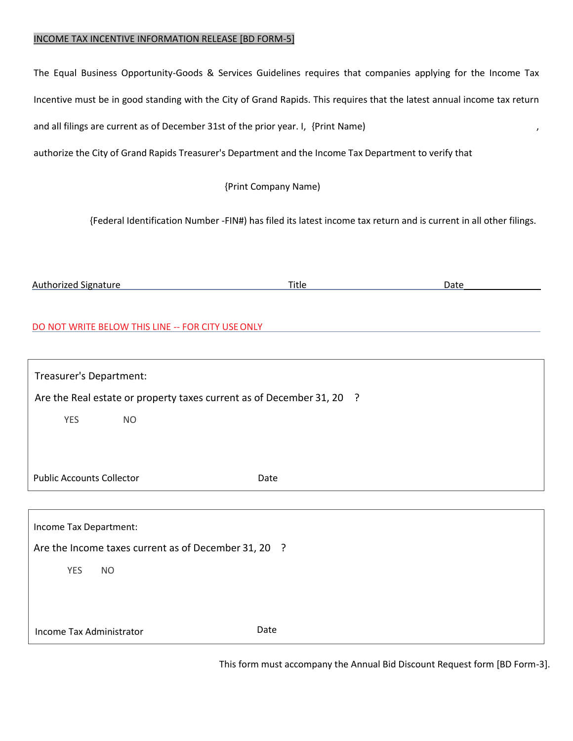#### INCOME TAX INCENTIVE INFORMATION RELEASE [BD FORM-5]

The Equal Business Opportunity-Goods & Services Guidelines requires that companies applying for the Income Tax Incentive must be in good standing with the City of Grand Rapids. This requires that the latest annual income tax return and all filings are current as of December 31st of the prior year. I, {Print Name) , , , , , , , , , , , , , ,

authorize the City of Grand Rapids Treasurer's Department and the Income Tax Department to verify that

{Print Company Name)

{Federal Identification Number -FIN#) has filed its latest income tax return and is current in all other filings.

| <br>norizeo<br>Au<br>Signature | Title | ,, |
|--------------------------------|-------|----|
|                                |       |    |

#### DO NOT WRITE BELOW THIS LINE -- FOR CITY USEONLY

| Treasurer's Department:                                               |  |
|-----------------------------------------------------------------------|--|
| Are the Real estate or property taxes current as of December 31, 20 ? |  |
| <b>YES</b><br><b>NO</b>                                               |  |
|                                                                       |  |
|                                                                       |  |
| <b>Public Accounts Collector</b><br>Date                              |  |
|                                                                       |  |
| Income Tax Department:                                                |  |
| Are the Income taxes current as of December 31, 20 ?                  |  |
| <b>YES</b><br><b>NO</b>                                               |  |
|                                                                       |  |
|                                                                       |  |
| Date<br>Income Tax Administrator                                      |  |

This form must accompany the Annual Bid Discount Request form [BD Form-3].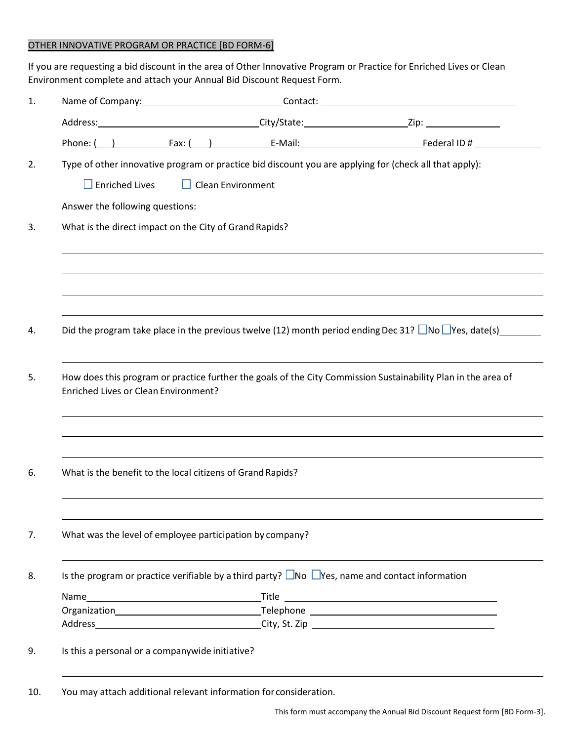## OTHER INNOVATIVE PROGRAM OR PRACTICE [BD FORM-6]

If you are requesting a bid discount in the area of Other Innovative Program or Practice for Enriched Lives or Clean Environment complete and attach your Annual Bid Discount Request Form.

|                                                            |                          | Type of other innovative program or practice bid discount you are applying for (check all that apply):           |
|------------------------------------------------------------|--------------------------|------------------------------------------------------------------------------------------------------------------|
| $\Box$ Enriched Lives                                      | $\Box$ Clean Environment |                                                                                                                  |
| Answer the following questions:                            |                          |                                                                                                                  |
| What is the direct impact on the City of Grand Rapids?     |                          |                                                                                                                  |
|                                                            |                          |                                                                                                                  |
|                                                            |                          | Did the program take place in the previous twelve (12) month period ending Dec 31? No $\Box$ Yes, date(s)        |
| Enriched Lives or Clean Environment?                       |                          | How does this program or practice further the goals of the City Commission Sustainability Plan in the area of    |
| What is the benefit to the local citizens of Grand Rapids? |                          |                                                                                                                  |
| What was the level of employee participation by company?   |                          |                                                                                                                  |
|                                                            |                          | Is the program or practice verifiable by a third party? $\square$ No $\square$ Yes, name and contact information |
|                                                            |                          |                                                                                                                  |
|                                                            |                          |                                                                                                                  |
|                                                            |                          |                                                                                                                  |
|                                                            |                          |                                                                                                                  |
| Is this a personal or a companywide initiative?            |                          |                                                                                                                  |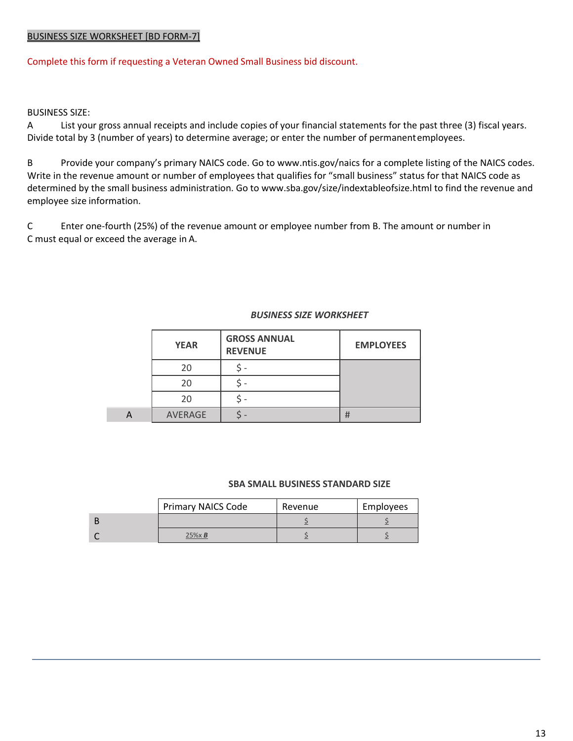#### BUSINESS SIZE WORKSHEET [BD FORM-7]

Complete this form if requesting a Veteran Owned Small Business bid discount.

BUSINESS SIZE:

A List your gross annual receipts and include copies of your financial statements for the past three (3) fiscal years. Divide total by 3 (number of years) to determine average; or enter the number of permanentemployees.

B Provide your company's primary NAICS code. Go to [www.ntis.gov/naics](http://www.ntis.gov/naics) for a complete listing of the NAICS codes. Write in the revenue amount or number of employees that qualifies for "small business" status for that NAICS code as determined by the small business administration. Go to [www.sba.gov/size/indextableofsize.html](http://www.sba.gov/size/indextableofsize.html) to find the revenue and employee size information.

C Enter one-fourth (25%) of the revenue amount or employee number from B. The amount or number in C must equal or exceed the average in A.

#### *BUSINESS SIZE WORKSHEET*

| <b>YEAR</b> | <b>GROSS ANNUAL</b><br><b>REVENUE</b> | <b>EMPLOYEES</b> |
|-------------|---------------------------------------|------------------|
| 20          |                                       |                  |
| 2Ο          |                                       |                  |
| 20          |                                       |                  |
| AVERAGE     |                                       | #                |

#### **SBA SMALL BUSINESS STANDARD SIZE**

| <b>Primary NAICS Code</b> | Revenue | Employees |
|---------------------------|---------|-----------|
|                           |         |           |
| $25% \times B$            |         |           |